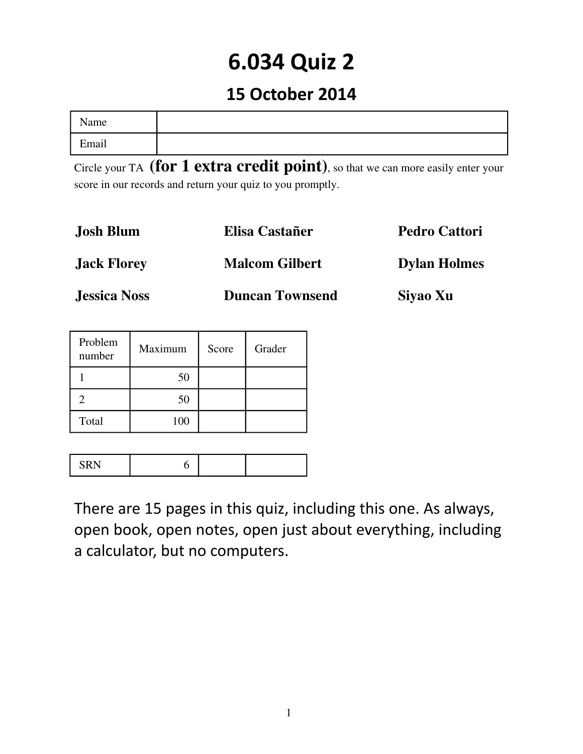# **6.034 Quiz 2**

## **15 October 2014**

| ◟▾<br>Name |  |
|------------|--|
| Email      |  |

Circle your TA (for 1 extra credit point), so that we can more easily enter your score in our records and return your quiz to you promptly.

| Josh Blum           | Elisa Castañer         | <b>Pedro Cattori</b> |
|---------------------|------------------------|----------------------|
| <b>Jack Florey</b>  | <b>Malcom Gilbert</b>  | <b>Dylan Holmes</b>  |
| <b>Jessica Noss</b> | <b>Duncan Townsend</b> | Siyao Xu             |

| Problem<br>number | Maximum | Score | Grader |
|-------------------|---------|-------|--------|
|                   | 50      |       |        |
|                   | 50      |       |        |
| Total             | 100     |       |        |

|--|--|--|--|

There are 15 pages in this quiz, including this one. As always, open book, open notes, open just about everything, including a calculator, but no computers.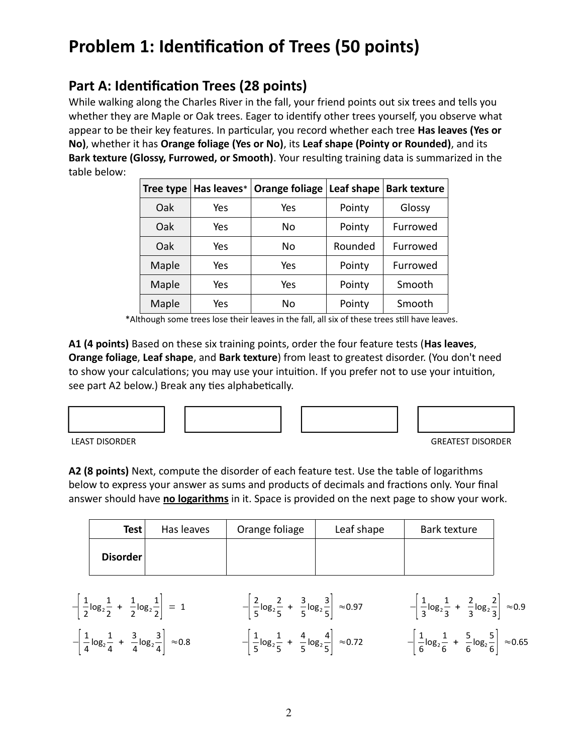# **Problem 1: Identification of Trees (50 points)**

## **Part A: Identification Trees (28 points)**

While walking along the Charles River in the fall, your friend points out six trees and tells you whether they are Maple or Oak trees. Eager to identify other trees yourself, you observe what appear to be their key features. In particular, you record whether each tree **Has leaves (Yes or No)**, whether it has **Orange foliage (Yes or No)**, its **Leaf shape (Pointy or Rounded)**, and its **Bark texture (Glossy, Furrowed, or Smooth)**. Your resulting training data is summarized in the table below:

| <b>Tree type</b> | Has leaves* | <b>Orange foliage</b> | Leaf shape | <b>Bark texture</b> |
|------------------|-------------|-----------------------|------------|---------------------|
| Oak              | Yes         | Yes                   | Pointy     | Glossy              |
| Oak              | Yes         | No                    | Pointy     | Furrowed            |
| Oak              | Yes         | No                    | Rounded    | Furrowed            |
| Maple            | Yes         | Yes                   | Pointy     | Furrowed            |
| Maple            | Yes         | Yes                   | Pointy     | Smooth              |
| Maple            | Yes         | No                    | Pointy     | Smooth              |

\*Although some trees lose their leaves in the fall, all six of these trees still have leaves.

**A1 (4 points)** Based on these six training points, order the four feature tests (**Has leaves**, **Orange foliage**, **Leaf shape**, and **Bark texture**) from least to greatest disorder. (You don't need to show your calculations; you may use your intuition. If you prefer not to use your intuition, see part A2 below.) Break any ties alphabetically.





LEAST DISORDER GREATEST DISORDER

**A2 (8 points)** Next, compute the disorder of each feature test. Use the table of logarithms below to express your answer as sums and products of decimals and fractions only. Your final answer should have **no logarithms** in it. Space is provided on the next page to show your work.

| Test     | Has leaves | Orange foliage | Leaf shape | Bark texture |
|----------|------------|----------------|------------|--------------|
| Disorder |            |                |            |              |

| $-\left[\frac{1}{2}\log_2\frac{1}{2} + \frac{1}{2}\log_2\frac{1}{2}\right] = 1$         | $-\left[\frac{2}{5}\log_2\frac{2}{5} + \frac{3}{5}\log_2\frac{3}{5}\right] \approx 0.97$ | $-\left[\frac{1}{3}\log_2\frac{1}{3} + \frac{2}{3}\log_2\frac{2}{3}\right] \approx 0.9$  |
|-----------------------------------------------------------------------------------------|------------------------------------------------------------------------------------------|------------------------------------------------------------------------------------------|
| $-\left[\frac{1}{4}\log_2\frac{1}{4} + \frac{3}{4}\log_2\frac{3}{4}\right] \approx 0.8$ | $-\left \frac{1}{5}\log_2\frac{1}{5} + \frac{4}{5}\log_2\frac{4}{5}\right  \approx 0.72$ | $-\left[\frac{1}{6}\log_2\frac{1}{6} + \frac{5}{6}\log_2\frac{5}{6}\right] \approx 0.65$ |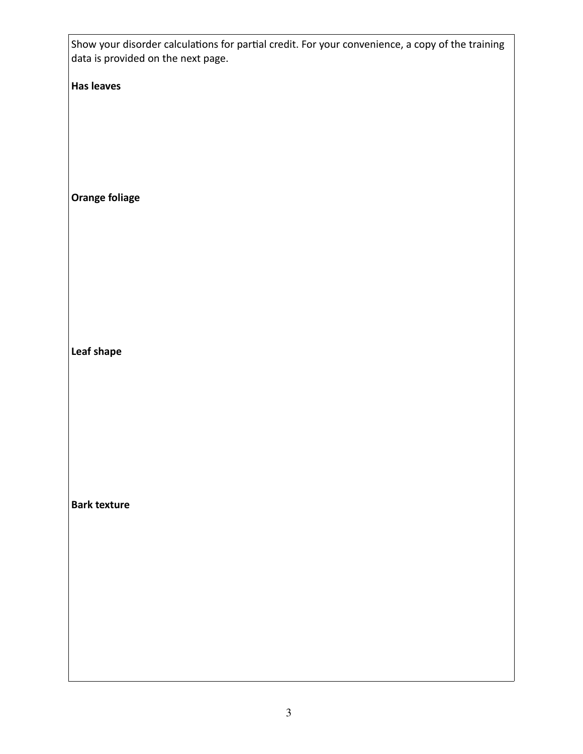Show your disorder calculations for partial credit. For your convenience, a copy of the training data is provided on the next page.

**Has leaves**

**Orange foliage**

**Leaf shape**

**Bark texture**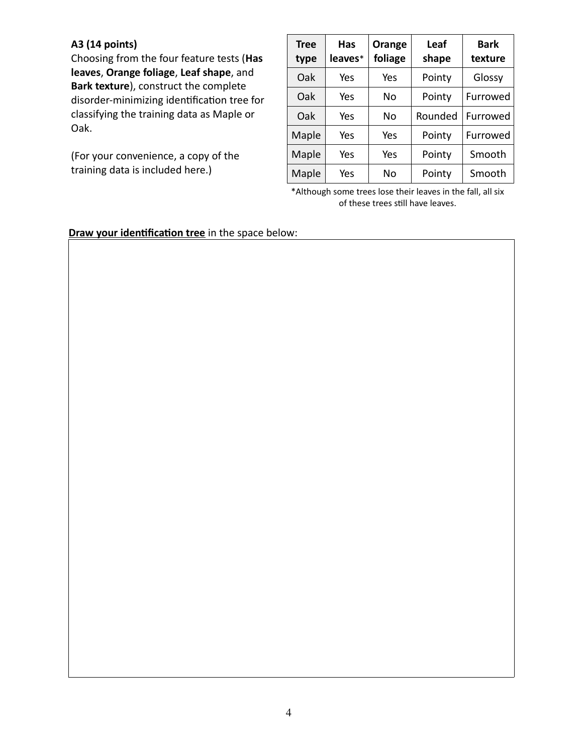#### **A3 (14 points)**

Choosing from the four feature tests (**Has leaves**, **Orange foliage**, **Leaf shape**, and **Bark texture**), construct the complete disorder-minimizing identification tree for classifying the training data as Maple or Oak.

(For your convenience, a copy of the training data is included here.)

| <b>Tree</b><br>type | Has<br>leaves* | Orange<br>foliage | Leaf<br>shape | <b>Bark</b><br>texture |
|---------------------|----------------|-------------------|---------------|------------------------|
| Oak                 | Yes            | Yes               | Pointy        | Glossy                 |
| Oak                 | Yes            | Nο                | Pointy        | Furrowed               |
| Oak                 | Yes            | No                | Rounded       | Furrowed               |
| Maple               | Yes            | Yes               | Pointy        | Furrowed               |
| Maple               | Yes            | Yes               | Pointy        | Smooth                 |
| Maple               | Yes            | No                | Pointy        | Smooth                 |

\*Although some trees lose their leaves in the fall, all six of these trees still have leaves.

**Draw your identification tree** in the space below: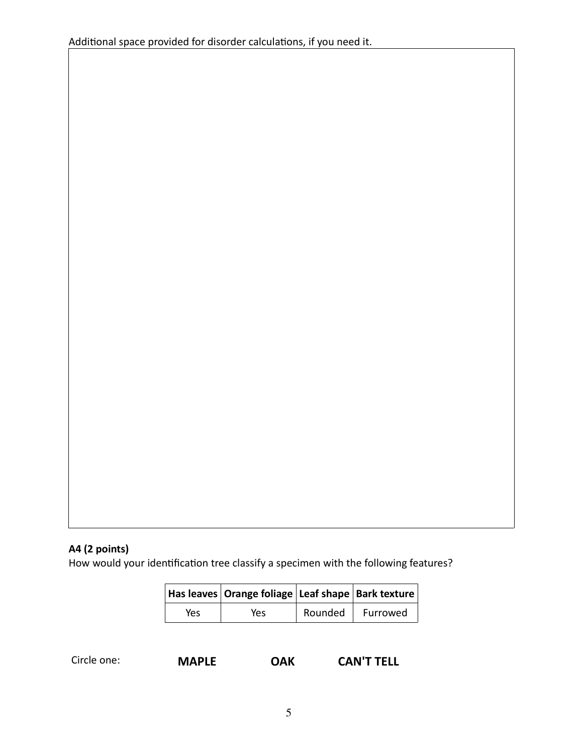#### **A4 (2 points)**

How would your identification tree classify a specimen with the following features?

|     | Has leaves   Orange foliage   Leaf shape   Bark texture |         |          |
|-----|---------------------------------------------------------|---------|----------|
| Yes | Yes                                                     | Rounded | Furrowed |

| Circle one: |  |  |  |
|-------------|--|--|--|
|-------------|--|--|--|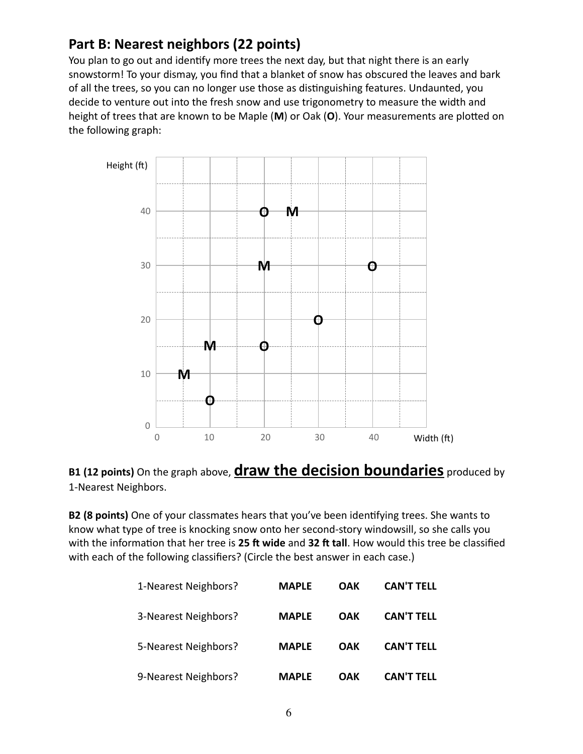## **Part B: Nearest neighbors (22 points)**

You plan to go out and identify more trees the next day, but that night there is an early snowstorm! To your dismay, you find that a blanket of snow has obscured the leaves and bark of all the trees, so you can no longer use those as distinguishing features. Undaunted, you decide to venture out into the fresh snow and use trigonometry to measure the width and height of trees that are known to be Maple (**M**) or Oak (**O**). Your measurements are plotted on the following graph:



#### **B1 (12 points)** On the graph above, **draw the decision boundaries** produced by 1-Nearest Neighbors.

**B2 (8 points)** One of your classmates hears that you've been identifying trees. She wants to know what type of tree is knocking snow onto her second-story windowsill, so she calls you with the information that her tree is **25 ft wide** and **32 ft tall**. How would this tree be classified with each of the following classifiers? (Circle the best answer in each case.)

| 1-Nearest Neighbors? | <b>MAPLE</b> | OAK        | <b>CAN'T TELL</b> |
|----------------------|--------------|------------|-------------------|
| 3-Nearest Neighbors? | <b>MAPLE</b> | <b>OAK</b> | <b>CAN'T TELL</b> |
| 5-Nearest Neighbors? | <b>MAPLE</b> | <b>OAK</b> | <b>CAN'T TELL</b> |
| 9-Nearest Neighbors? | <b>MAPLF</b> | OAK        | <b>CAN'T TFLL</b> |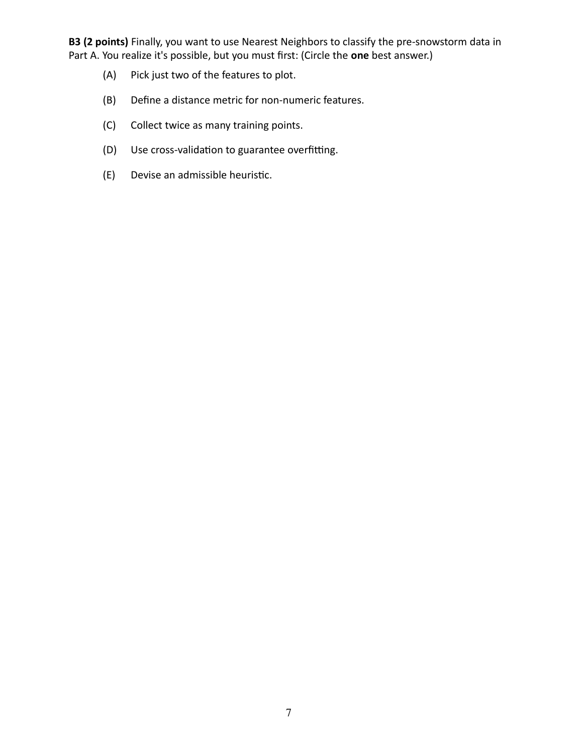**B3 (2 points)** Finally, you want to use Nearest Neighbors to classify the pre-snowstorm data in Part A. You realize it's possible, but you must first: (Circle the **one** best answer.)

- (A) Pick just two of the features to plot.
- (B) Define a distance metric for non-numeric features.
- (C) Collect twice as many training points.
- (D) Use cross-validation to guarantee overfitting.
- (E) Devise an admissible heuristic.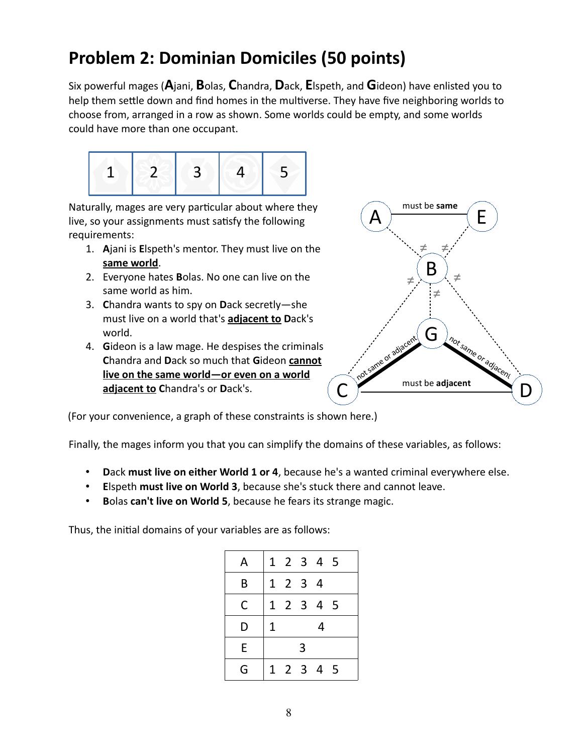# **Problem 2: Dominian Domiciles (50 points)**

Six powerful mages (**A**jani, **B**olas, **C**handra, **D**ack, **E**lspeth, and **G**ideon) have enlisted you to help them settle down and find homes in the multiverse. They have five neighboring worlds to choose from, arranged in a row as shown. Some worlds could be empty, and some worlds could have more than one occupant.



Naturally, mages are very particular about where they live, so your assignments must satisfy the following requirements:

- 1. **A**jani is **E**lspeth's mentor. They must live on the **same world**.
- 2. Everyone hates **B**olas. No one can live on the same world as him.
- 3. **C**handra wants to spy on **D**ack secretly—she must live on a world that's **adjacent to D**ack's world.
- 4. **G**ideon is a law mage. He despises the criminals **C**handra and **D**ack so much that **G**ideon **cannot live on the same world—or even on a world adjacent to C**handra's or **D**ack's.



(For your convenience, a graph of these constraints is shown here.)

Finally, the mages inform you that you can simplify the domains of these variables, as follows:

- **D**ack **must live on either World 1 or 4**, because he's a wanted criminal everywhere else.
- **E**lspeth **must live on World 3**, because she's stuck there and cannot leave.
- **B**olas **can't live on World 5**, because he fears its strange magic.

Thus, the initial domains of your variables are as follows:

| Α |   |         |   | 1 2 3 4 5 |  |
|---|---|---------|---|-----------|--|
| B |   | 1 2 3 4 |   |           |  |
| C |   |         |   | 1 2 3 4 5 |  |
| D | 1 |         |   | 4         |  |
| E |   |         | 3 |           |  |
| G |   |         |   | 1 2 3 4 5 |  |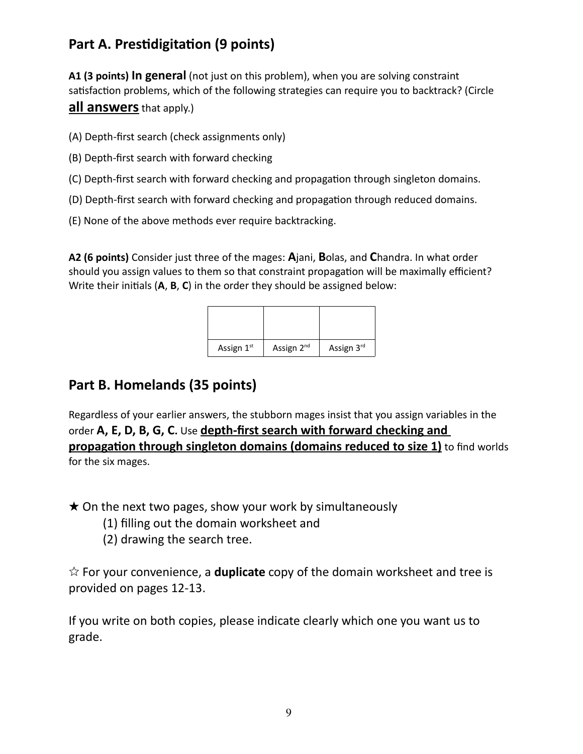## **Part A. Prestidigitation (9 points)**

**A1 (3 points) In general** (not just on this problem), when you are solving constraint satisfaction problems, which of the following strategies can require you to backtrack? (Circle **all answers** that apply.)

- (A) Depth-first search (check assignments only)
- (B) Depth-first search with forward checking
- (C) Depth-first search with forward checking and propagation through singleton domains.
- (D) Depth-first search with forward checking and propagation through reduced domains.
- (E) None of the above methods ever require backtracking.

**A2 (6 points)** Consider just three of the mages: **A**jani, **B**olas, and **C**handra. In what order should you assign values to them so that constraint propagation will be maximally efficient? Write their initials (**A**, **B**, **C**) in the order they should be assigned below:

| Assign 1st | Assign 2 <sup>nd</sup> | Assign 3rd |
|------------|------------------------|------------|

#### **Part B. Homelands (35 points)**

Regardless of your earlier answers, the stubborn mages insist that you assign variables in the order **A, E, D, B, G, C.** Use **depth-first search with forward checking and propagation through singleton domains (domains reduced to size 1)** to find worlds for the six mages.

 $\star$  On the next two pages, show your work by simultaneously

- (1) filling out the domain worksheet and
- (2) drawing the search tree.

☆ For your convenience, a **duplicate** copy of the domain worksheet and tree is provided on pages 12-13.

If you write on both copies, please indicate clearly which one you want us to grade.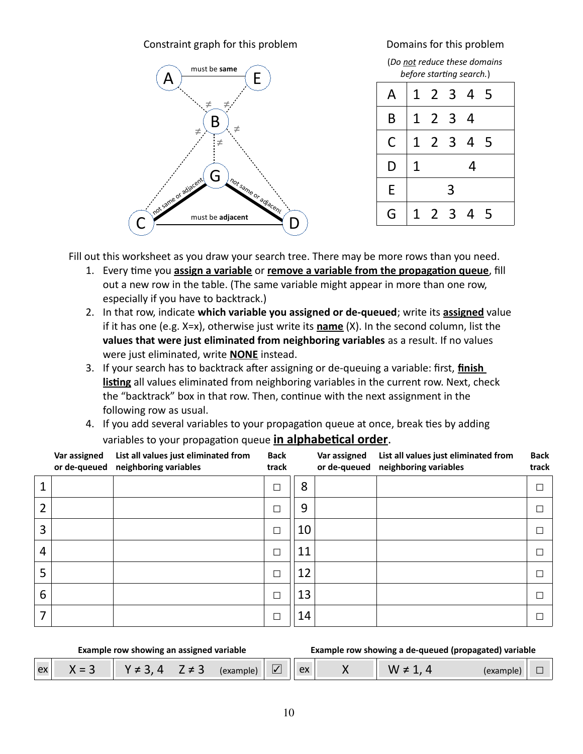#### Constraint graph for this problem Domains for this problem



(*Do not reduce these domains before starting search.*)

| A |   |         |   | 1 2 3 4 5 |    |
|---|---|---------|---|-----------|----|
| B |   | 1 2 3 4 |   |           |    |
| C |   |         |   | 1 2 3 4 5 |    |
| D | 1 |         |   | 4         |    |
| E |   |         | 3 |           |    |
| G | 1 | 2 3 4   |   |           | -5 |

Fill out this worksheet as you draw your search tree. There may be more rows than you need.

- 1. Every time you **assign a variable** or **remove a variable from the propagation queue**, fill out a new row in the table. (The same variable might appear in more than one row, especially if you have to backtrack.)
- 2. In that row, indicate **which variable you assigned or de-queued**; write its **assigned** value if it has one (e.g. X=x), otherwise just write its **name** (X). In the second column, list the **values that were just eliminated from neighboring variables** as a result. If no values were just eliminated, write **NONE** instead.
- 3. If your search has to backtrack after assigning or de-queuing a variable: first, **finish listing** all values eliminated from neighboring variables in the current row. Next, check the "backtrack" box in that row. Then, continue with the next assignment in the following row as usual.
- 4. If you add several variables to your propagation queue at once, break ties by adding variables to your propagation queue **in alphabetical order**.

|                | Var assigned<br>or de-queued | List all values just eliminated from<br>neighboring variables | <b>Back</b><br>track |    | Var assigned<br>or de-queued | List all values just eliminated from<br>neighboring variables | <b>Back</b><br>track |
|----------------|------------------------------|---------------------------------------------------------------|----------------------|----|------------------------------|---------------------------------------------------------------|----------------------|
|                |                              |                                                               | $\Box$               | 8  |                              |                                                               | Е                    |
| 2              |                              |                                                               |                      | 9  |                              |                                                               | Г                    |
| 3              |                              |                                                               | $\Box$               | 10 |                              |                                                               |                      |
| $\overline{4}$ |                              |                                                               | □                    | 11 |                              |                                                               | Г                    |
| 5              |                              |                                                               | □                    | 12 |                              |                                                               | Г                    |
| 6              |                              |                                                               | $\Box$               | 13 |                              |                                                               | Г                    |
| 7              |                              |                                                               | П                    | 14 |                              |                                                               | Г                    |

#### **Example row showing an assigned variable Example row showing a de-queued (propagated) variable**

| _<br>$\sim$ 1.<br>$\sim$<br>w<br>דונ<br>- | $\mathbf{Q}$ | -- |  |
|-------------------------------------------|--------------|----|--|
|-------------------------------------------|--------------|----|--|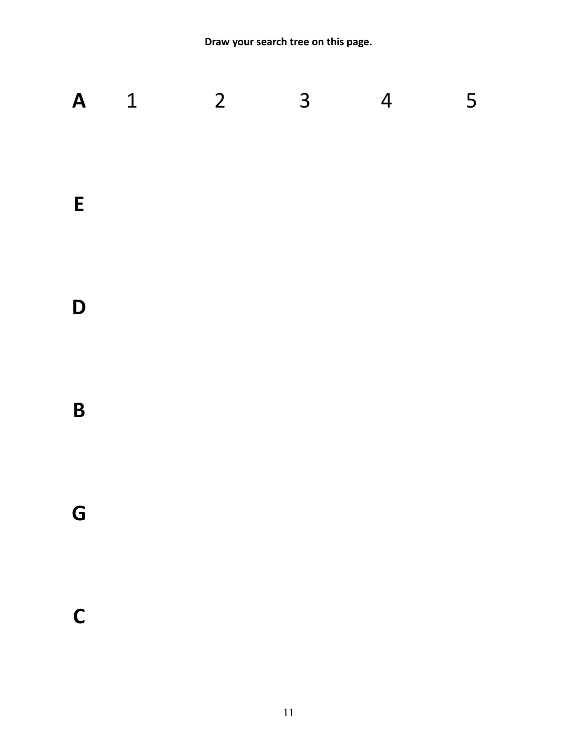**Draw your search tree on this page.**

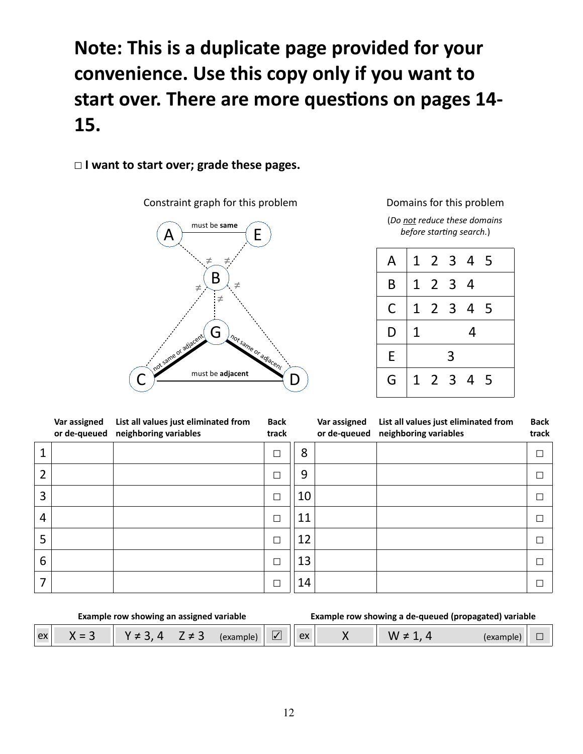# **Note: This is a duplicate page provided for your convenience. Use this copy only if you want to start over. There are more questions on pages 14- 15.**

#### ☐ **I want to start over; grade these pages.**

Constraint graph for this problem Domains for this problem



(*Do not reduce these domains before starting search.*)

| A |                |         |   | 1 2 3 4 5 |  |
|---|----------------|---------|---|-----------|--|
| B |                | 1 2 3 4 |   |           |  |
| C |                |         |   | 1 2 3 4 5 |  |
| D | $\overline{1}$ |         |   | 4         |  |
| E |                |         | 3 |           |  |
| G |                |         |   | 1 2 3 4 5 |  |

|                | Var assigned<br>or de-queued | List all values just eliminated from<br>neighboring variables | <b>Back</b><br>track |    | Var assigned<br>or de-queued | List all values just eliminated from<br>neighboring variables | <b>Back</b><br>track |
|----------------|------------------------------|---------------------------------------------------------------|----------------------|----|------------------------------|---------------------------------------------------------------|----------------------|
| 1              |                              |                                                               | $\Box$               | 8  |                              |                                                               | Е                    |
| 2              |                              |                                                               | $\Box$               | 9  |                              |                                                               |                      |
| 3              |                              |                                                               | $\Box$               | 10 |                              |                                                               |                      |
| $\overline{4}$ |                              |                                                               | $\Box$               | 11 |                              |                                                               |                      |
| 5              |                              |                                                               | $\Box$               | 12 |                              |                                                               |                      |
| 6              |                              |                                                               | $\Box$               | 13 |                              |                                                               |                      |
| 7              |                              |                                                               | $\Box$               | 14 |                              |                                                               |                      |

|    | Example row showing an assigned variable |                |            |           |                          |  | Example row showing a de-queued (propagated) variable |  |
|----|------------------------------------------|----------------|------------|-----------|--------------------------|--|-------------------------------------------------------|--|
| ex | $v - 2$                                  | $V \neq 3$ $A$ | $7 \neq 3$ | (example) | $\overline{\mathcal{U}}$ |  |                                                       |  |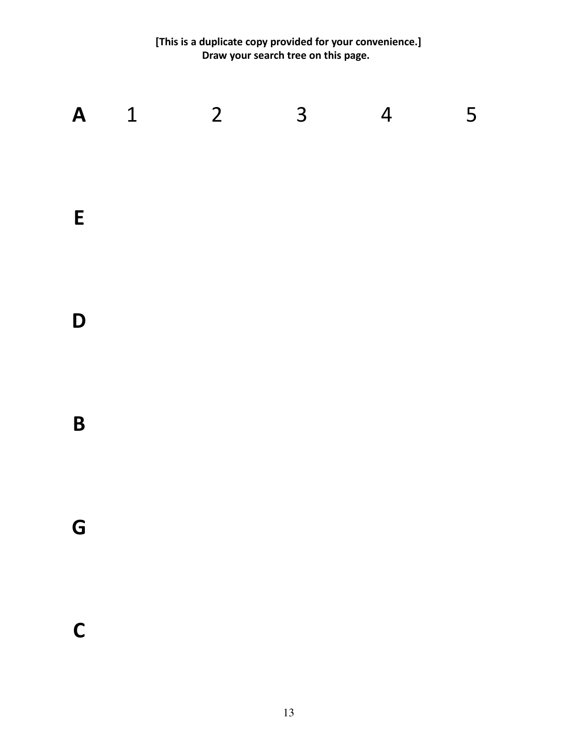**[This is a duplicate copy provided for your convenience.] Draw your search tree on this page.** 

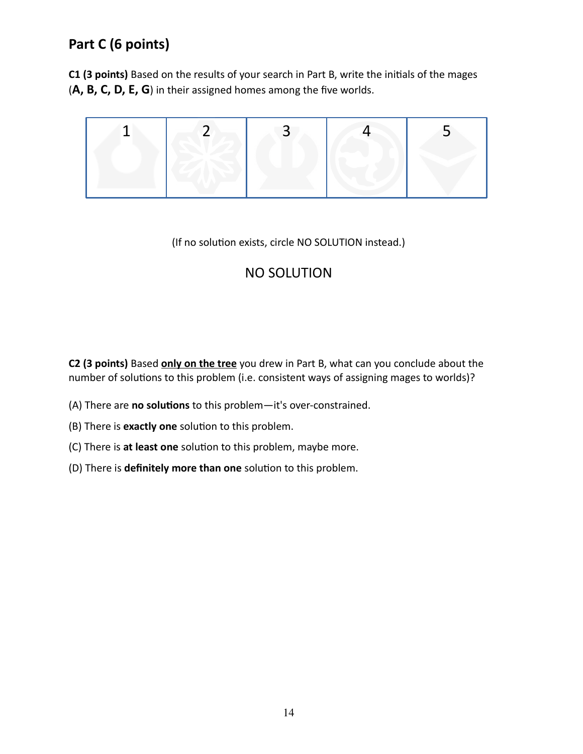## **Part C (6 points)**

**C1 (3 points)** Based on the results of your search in Part B, write the initials of the mages (**A, B, C, D, E, G**) in their assigned homes among the five worlds.



#### (If no solution exists, circle NO SOLUTION instead.)

### NO SOLUTION

**C2 (3 points)** Based **only on the tree** you drew in Part B, what can you conclude about the number of solutions to this problem (i.e. consistent ways of assigning mages to worlds)?

- (A) There are **no solutions** to this problem—it's over-constrained.
- (B) There is **exactly one** solution to this problem.
- (C) There is **at least one** solution to this problem, maybe more.
- (D) There is **definitely more than one** solution to this problem.